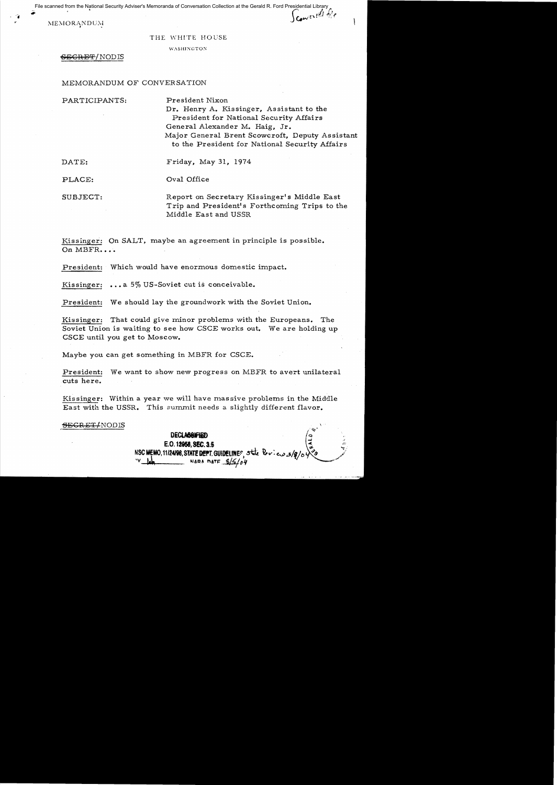File scanned from the National Security Adviser's Memoranda of Conversation Collection at the Gerald R. Ford Presidential Library<br>A created for the Security Adviser's Memoranda of Conversation Collection at the Gerald R. F

MEMORANDUM

| THE WHITE HOUSE |  |  |  |  |
|-----------------|--|--|--|--|
|-----------------|--|--|--|--|

WASHINGTON

## $-6R$ <sub>E</sub>CRET/NODIS

## MEMORANDUM OF CONVERSATION

PARTICIPANTS: President Nixon

Dr. Henry A. Kissinger, Assistant to the President for National Security Affairs General Alexander M. Haig, Jr. Major General Brent Scowcroft, Deputy Assistant to the President for National Security Affairs

DATE: Friday, May 31, 1974

PLACE: Oval Office

SUBJECT: Report on Secretary Kissinger's Middle East Trip and President's Forthcoming Trips to the Middle East and USSR

Kissinger: On SALT, maybe an agreement in principle is possible. On MBFR....

President: Which would have enormous domestic impact.

Kissinger: ... a 5% US-Soviet cut is conceivable.

President: We should lay the groundwork with the Soviet Union.

Kissinger: That could give minor problems with the Europeans. The Soviet Union is waiting to see how CSCE works out. We are holding up CSCE until you get to Moscow.

Maybe you can get something in MBFR for CSCE.

President: We want to show new progress on MBFR to avert unilateral cuts here.

Kissinger: Within a year we will have massive problems in the Middle East with the USSR. This summit needs a slightly different flavor.

SECRET/NODIS

**DECLAS&WHED** E.O. 12958, SEC. 3.5 NSC MEMO, 11/24/98, STATE DEPT. GUIDELINES State Dev NARA DATE  $8/5/04$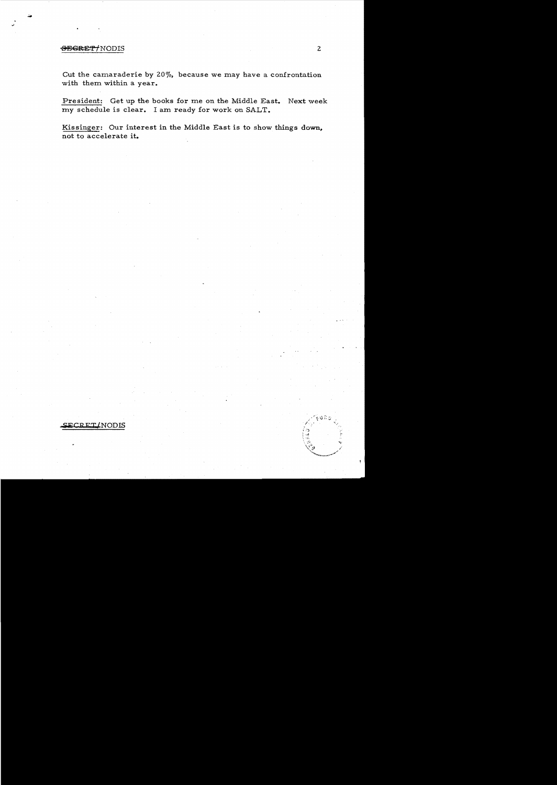## <del>OECRET/</del>NODIS 2

Gut the camaraderie by 20%, because we may have a confrontation with them within a year.

President: Get up the books for me on the Middle East. Next week my schedule is clear. I am ready for work on SALT.

Kissinger: Our interest in the Middle East is to show things down, not to accelerate it.